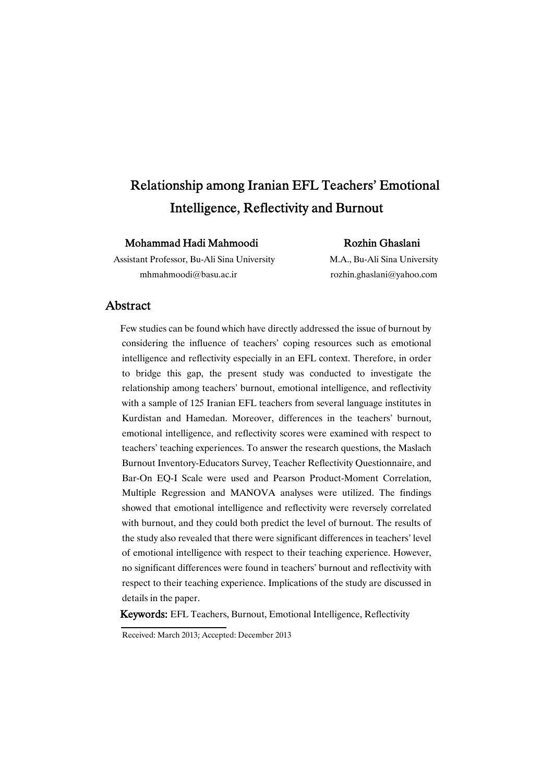# Relationship among Iranian EFL Teachers' Emotional Intelligence, Reflectivity and Burnout

### Mohammad Hadi Mahmoodi Rozhin Ghaslani

Assistant Professor, Bu-Ali Sina University M.A., Bu-Ali Sina University mhmahmoodi@basu.ac.ir rozhin.ghaslani@yahoo.com

### Abstract

Few studies can be found which have directly addressed the issue of burnout by considering the influence of teachers' coping resources such as emotional intelligence and reflectivity especially in an EFL context. Therefore, in order to bridge this gap, the present study was conducted to investigate the relationship among teachers' burnout, emotional intelligence, and reflectivity with a sample of 125 Iranian EFL teachers from several language institutes in Kurdistan and Hamedan. Moreover, differences in the teachers' burnout, emotional intelligence, and reflectivity scores were examined with respect to teachers' teaching experiences. To answer the research questions, the Maslach Burnout Inventory-Educators Survey, Teacher Reflectivity Questionnaire, and Bar-On EQ-I Scale were used and Pearson Product-Moment Correlation, Multiple Regression and MANOVA analyses were utilized. The findings showed that emotional intelligence and reflectivity were reversely correlated with burnout, and they could both predict the level of burnout. The results of the study also revealed that there were significant differences in teachers' level of emotional intelligence with respect to their teaching experience. However, no significant differences were found in teachers' burnout and reflectivity with respect to their teaching experience. Implications of the study are discussed in details in the paper.

Keywords:EFL Teachers, Burnout, Emotional Intelligence, Reflectivity

Received: March 2013; Accepted: December 2013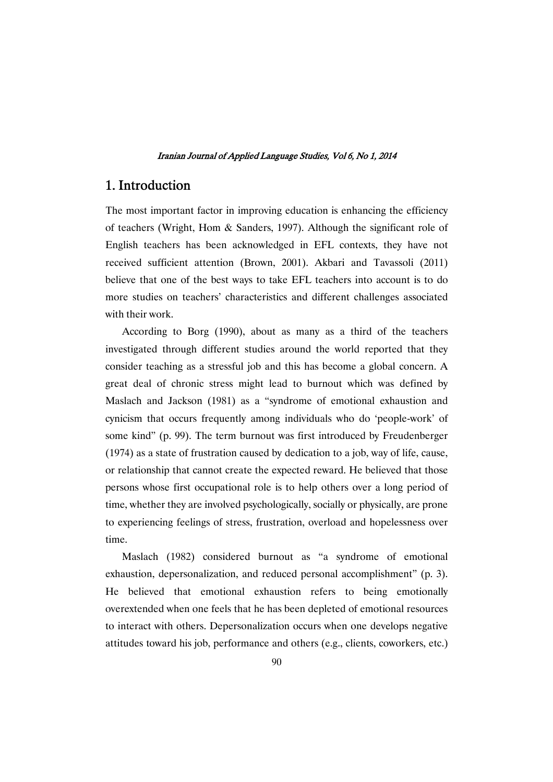### 1. Introduction

The most important factor in improving education is enhancing the efficiency of teachers (Wright, Hom & Sanders, 1997). Although the significant role of English teachers has been acknowledged in EFL contexts, they have not received sufficient attention (Brown, 2001). Akbari and Tavassoli (2011) believe that one of the best ways to take EFL teachers into account is to do more studies on teachers' characteristics and different challenges associated with their work.

According to Borg (1990), about as many as a third of the teachers investigated through different studies around the world reported that they consider teaching as a stressful job and this has become a global concern. A great deal of chronic stress might lead to burnout which was defined by Maslach and Jackson (1981) as a "syndrome of emotional exhaustion and cynicism that occurs frequently among individuals who do 'people-work' of some kind" (p. 99). The term burnout was first introduced by Freudenberger (1974) as a state of frustration caused by dedication to a job, way of life, cause, or relationship that cannot create the expected reward. He believed that those persons whose first occupational role is to help others over a long period of time, whether they are involved psychologically, socially or physically, are prone to experiencing feelings of stress, frustration, overload and hopelessness over time.

Maslach (1982) considered burnout as "a syndrome of emotional exhaustion, depersonalization, and reduced personal accomplishment" (p. 3). He believed that emotional exhaustion refers to being emotionally overextended when one feels that he has been depleted of emotional resources to interact with others. Depersonalization occurs when one develops negative attitudes toward his job, performance and others (e.g., clients, coworkers, etc.)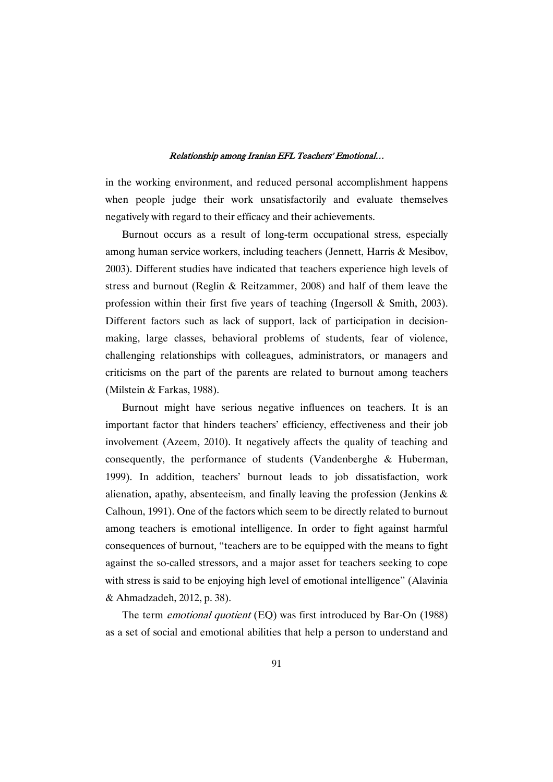in the working environment, and reduced personal accomplishment happens when people judge their work unsatisfactorily and evaluate themselves negatively with regard to their efficacy and their achievements.

Burnout occurs as a result of long-term occupational stress, especially among human service workers, including teachers (Jennett, Harris & Mesibov, 2003). Different studies have indicated that teachers experience high levels of stress and burnout (Reglin & Reitzammer, 2008) and half of them leave the profession within their first five years of teaching (Ingersoll & Smith, 2003). Different factors such as lack of support, lack of participation in decisionmaking, large classes, behavioral problems of students, fear of violence, challenging relationships with colleagues, administrators, or managers and criticisms on the part of the parents are related to burnout among teachers (Milstein & Farkas, 1988).

Burnout might have serious negative influences on teachers. It is an important factor that hinders teachers' efficiency, effectiveness and their job involvement (Azeem, 2010). It negatively affects the quality of teaching and consequently, the performance of students (Vandenberghe & Huberman, 1999). In addition, teachers' burnout leads to job dissatisfaction, work alienation, apathy, absenteeism, and finally leaving the profession (Jenkins & Calhoun, 1991). One of the factors which seem to be directly related to burnout among teachers is emotional intelligence. In order to fight against harmful consequences of burnout, "teachers are to be equipped with the means to fight against the so-called stressors, and a major asset for teachers seeking to cope with stress is said to be enjoying high level of emotional intelligence" (Alavinia & Ahmadzadeh, 2012, p. 38).

The term *emotional quotient* (EO) was first introduced by Bar-On (1988) as a set of social and emotional abilities that help a person to understand and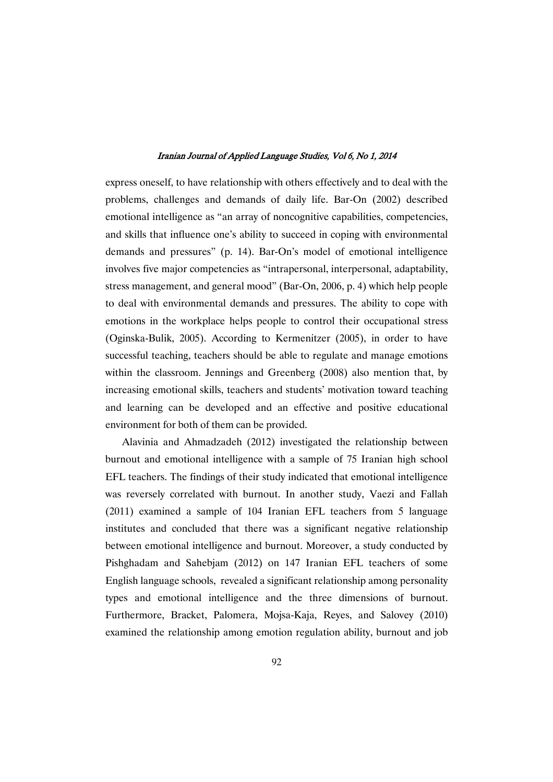express oneself, to have relationship with others effectively and to deal with the problems, challenges and demands of daily life. Bar-On (2002) described emotional intelligence as "an array of noncognitive capabilities, competencies, and skills that influence one's ability to succeed in coping with environmental demands and pressures" (p. 14). Bar-On's model of emotional intelligence involves five major competencies as "intrapersonal, interpersonal, adaptability, stress management, and general mood" (Bar-On, 2006, p. 4) which help people to deal with environmental demands and pressures. The ability to cope with emotions in the workplace helps people to control their occupational stress (Oginska-Bulik, 2005). According to Kermenitzer (2005), in order to have successful teaching, teachers should be able to regulate and manage emotions within the classroom. Jennings and Greenberg (2008) also mention that, by increasing emotional skills, teachers and students' motivation toward teaching and learning can be developed and an effective and positive educational environment for both of them can be provided.

Alavinia and Ahmadzadeh (2012) investigated the relationship between burnout and emotional intelligence with a sample of 75 Iranian high school EFL teachers. The findings of their study indicated that emotional intelligence was reversely correlated with burnout. In another study, Vaezi and Fallah (2011) examined a sample of 104 Iranian EFL teachers from 5 language institutes and concluded that there was a significant negative relationship between emotional intelligence and burnout. Moreover, a study conducted by Pishghadam and Sahebjam (2012) on 147 Iranian EFL teachers of some English language schools, revealed a significant relationship among personality types and emotional intelligence and the three dimensions of burnout. Furthermore, Bracket, Palomera, Mojsa-Kaja, Reyes, and Salovey (2010) examined the relationship among emotion regulation ability, burnout and job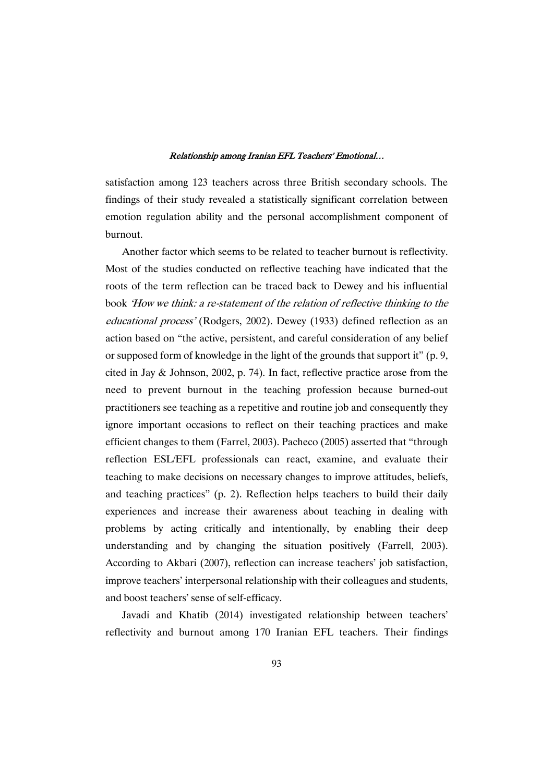satisfaction among 123 teachers across three British secondary schools. The findings of their study revealed a statistically significant correlation between emotion regulation ability and the personal accomplishment component of burnout.

Another factor which seems to be related to teacher burnout is reflectivity. Most of the studies conducted on reflective teaching have indicated that the roots of the term reflection can be traced back to Dewey and his influential book 'How we think: <sup>a</sup> re-statement of the relation of reflective thinking to the educational process' (Rodgers, 2002). Dewey (1933) defined reflection as an action based on "the active, persistent, and careful consideration of any belief or supposed form of knowledge in the light of the grounds that support it" (p. 9, cited in Jay & Johnson, 2002, p. 74). In fact, reflective practice arose from the need to prevent burnout in the teaching profession because burned-out practitioners see teaching as a repetitive and routine job and consequently they ignore important occasions to reflect on their teaching practices and make efficient changes to them (Farrel, 2003). Pacheco (2005) asserted that "through reflection ESL/EFL professionals can react, examine, and evaluate their teaching to make decisions on necessary changes to improve attitudes, beliefs, and teaching practices" (p. 2). Reflection helps teachers to build their daily experiences and increase their awareness about teaching in dealing with problems by acting critically and intentionally, by enabling their deep understanding and by changing the situation positively (Farrell, 2003). According to Akbari (2007), reflection can increase teachers' job satisfaction, improve teachers' interpersonal relationship with their colleagues and students, and boost teachers' sense of self-efficacy.

Javadi and Khatib (2014) investigated relationship between teachers' reflectivity and burnout among 170 Iranian EFL teachers. Their findings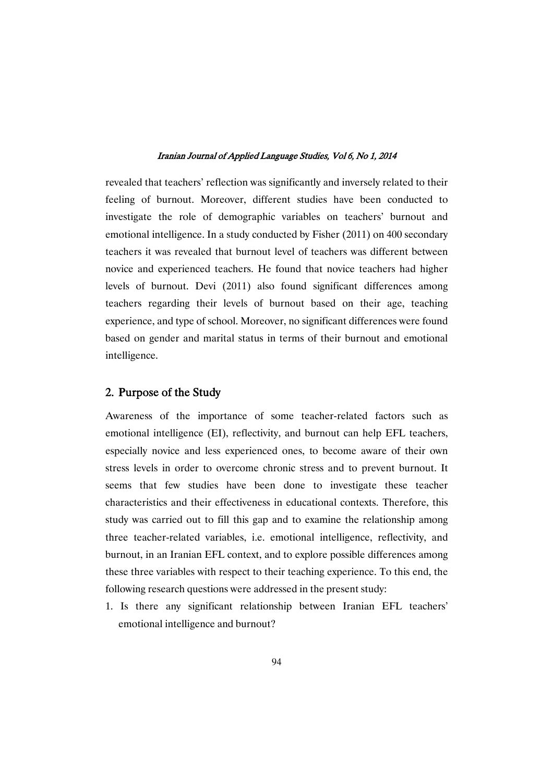revealed that teachers' reflection was significantly and inversely related to their feeling of burnout. Moreover, different studies have been conducted to investigate the role of demographic variables on teachers' burnout and emotional intelligence. In a study conducted by Fisher (2011) on 400 secondary teachers it was revealed that burnout level of teachers was different between novice and experienced teachers. He found that novice teachers had higher levels of burnout. Devi (2011) also found significant differences among teachers regarding their levels of burnout based on their age, teaching experience, and type of school. Moreover, no significant differences were found based on gender and marital status in terms of their burnout and emotional intelligence.

### 2. Purpose of the Study

Awareness of the importance of some teacher-related factors such as emotional intelligence (EI), reflectivity, and burnout can help EFL teachers, especially novice and less experienced ones, to become aware of their own stress levels in order to overcome chronic stress and to prevent burnout. It seems that few studies have been done to investigate these teacher characteristics and their effectiveness in educational contexts. Therefore, this study was carried out to fill this gap and to examine the relationship among three teacher-related variables, i.e. emotional intelligence, reflectivity, and burnout, in an Iranian EFL context, and to explore possible differences among these three variables with respect to their teaching experience. To this end, the following research questions were addressed in the present study:

1. Is there any significant relationship between Iranian EFL teachers' emotional intelligence and burnout?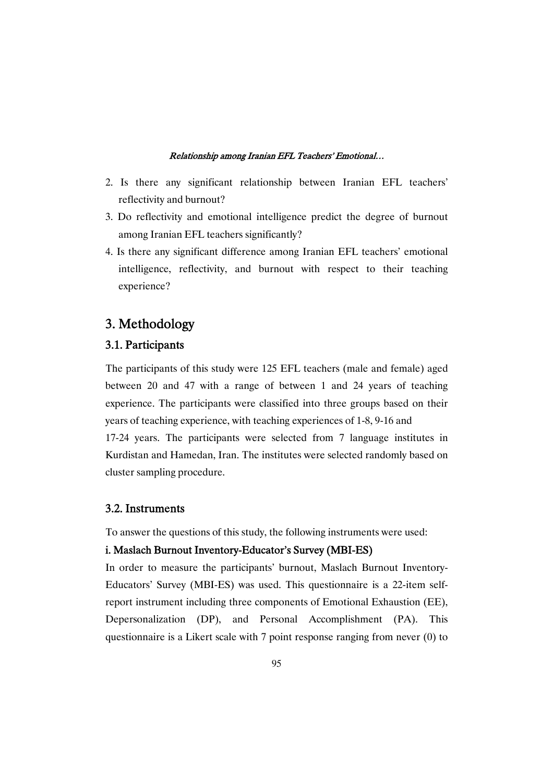- 2. Is there any significant relationship between Iranian EFL teachers' reflectivity and burnout?
- 3. Do reflectivity and emotional intelligence predict the degree of burnout among Iranian EFL teachers significantly?
- 4. Is there any significant difference among Iranian EFL teachers' emotional intelligence, reflectivity, and burnout with respect to their teaching experience?

## 3. Methodology

### 3.1.Participants

The participants of this study were 125 EFL teachers (male and female) aged between 20 and 47 with a range of between 1 and 24 years of teaching experience. The participants were classified into three groups based on their years of teaching experience, with teaching experiences of 1-8, 9-16 and

17-24 years. The participants were selected from 7 language institutes in Kurdistan and Hamedan, Iran. The institutes were selected randomly based on cluster sampling procedure.

### 3.2.Instruments

To answer the questions of this study, the following instruments were used:

### i. Maslach Burnout Inventory-Educator's Survey (MBI-ES)

In order to measure the participants' burnout, Maslach Burnout Inventory-Educators' Survey (MBI-ES) was used. This questionnaire is a 22-item selfreport instrument including three components of Emotional Exhaustion (EE), Depersonalization (DP), and Personal Accomplishment (PA). This questionnaire is a Likert scale with 7 point response ranging from never (0) to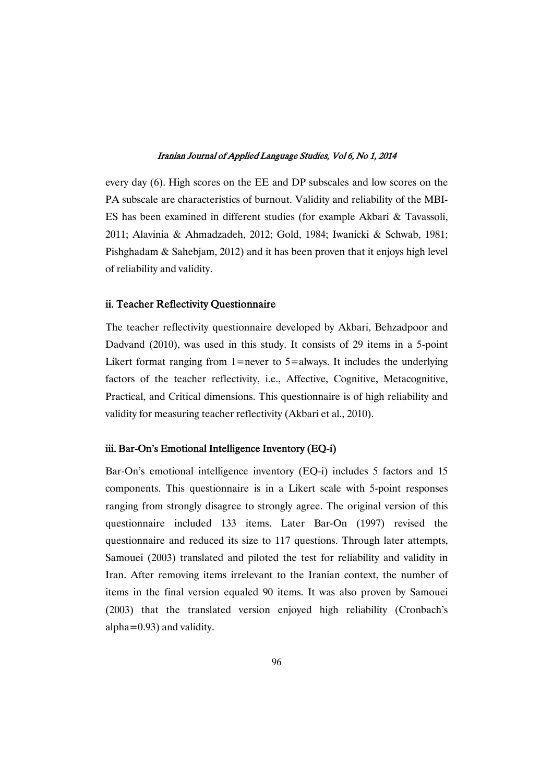every day (6). High scores on the EE and DP subscales and low scores on the PA subscale are characteristics of burnout. Validity and reliability of the MBI-ES has been examined in different studies (for example Akbari & Tavassoli, 2011; Alavinia & Ahmadzadeh, 2012; Gold, 1984; Iwanicki & Schwab, 1981; Pishghadam & Sahebjam, 2012) and it has been proven that it enjoys high level of reliability and validity.

### ii. Teacher Reflectivity Questionnaire

The teacher reflectivity questionnaire developed by Akbari, Behzadpoor and Dadvand (2010), was used in this study. It consists of 29 items in a 5-point Likert format ranging from  $1$ =never to  $5$ =always. It includes the underlying factors of the teacher reflectivity, i.e., Affective, Cognitive, Metacognitive, Practical, and Critical dimensions. This questionnaire is of high reliability and validity for measuring teacher reflectivity (Akbari et al., 2010).

### iii. Bar-On's Emotional Intelligence Inventory (EQ-i)

Bar-On's emotional intelligence inventory (EQ-i) includes 5 factors and 15 components. This questionnaire is in a Likert scale with 5-point responses ranging from strongly disagree to strongly agree. The original version of this questionnaire included 133 items. Later Bar-On (1997) revised the questionnaire and reduced its size to 117 questions. Through later attempts, Samouei (2003) translated and piloted the test for reliability and validity in Iran. After removing items irrelevant to the Iranian context, the number of items in the final version equaled 90 items. It was also proven by Samouei (2003) that the translated version enjoyed high reliability (Cronbach's alpha=0.93) and validity.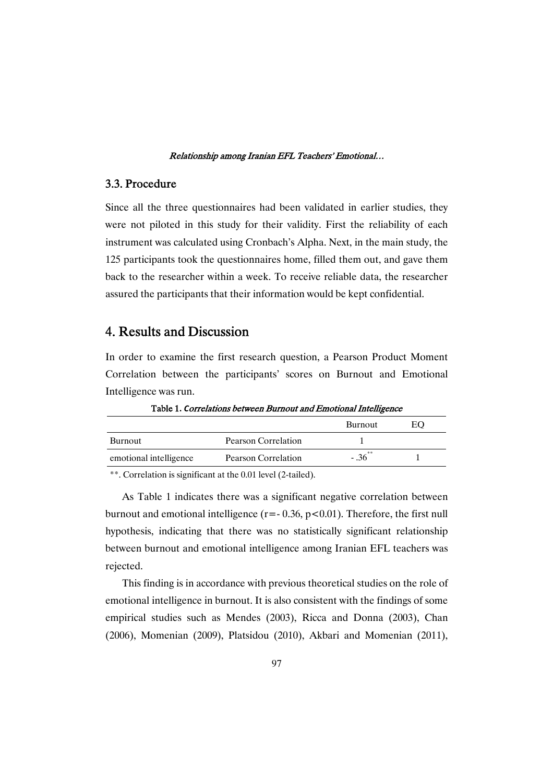### 3.3.Procedure

Since all the three questionnaires had been validated in earlier studies, they were not piloted in this study for their validity. First the reliability of each instrument was calculated using Cronbach's Alpha. Next, in the main study, the 125 participants took the questionnaires home, filled them out, and gave them back to the researcher within a week. To receive reliable data, the researcher assured the participants that their information would be kept confidential.

### 4. ResultsandDiscussion

In order to examine the first research question, a Pearson Product Moment Correlation between the participants' scores on Burnout and Emotional Intelligence was run.

|                        |                     | <b>Burnout</b> | EO |
|------------------------|---------------------|----------------|----|
| <b>Burnout</b>         | Pearson Correlation |                |    |
| emotional intelligence | Pearson Correlation | $-.36$         |    |

Table 1. Correlations between Burnout and Emotional Intelligence

\*\*. Correlation is significant at the 0.01 level (2-tailed).

As Table 1 indicates there was a significant negative correlation between burnout and emotional intelligence ( $r = -0.36$ ,  $p < 0.01$ ). Therefore, the first null hypothesis, indicating that there was no statistically significant relationship between burnout and emotional intelligence among Iranian EFL teachers was rejected.

This finding is in accordance with previous theoretical studies on the role of emotional intelligence in burnout. It is also consistent with the findings of some empirical studies such as Mendes (2003), Ricca and Donna (2003), Chan (2006), Momenian (2009), Platsidou (2010), Akbari and Momenian (2011),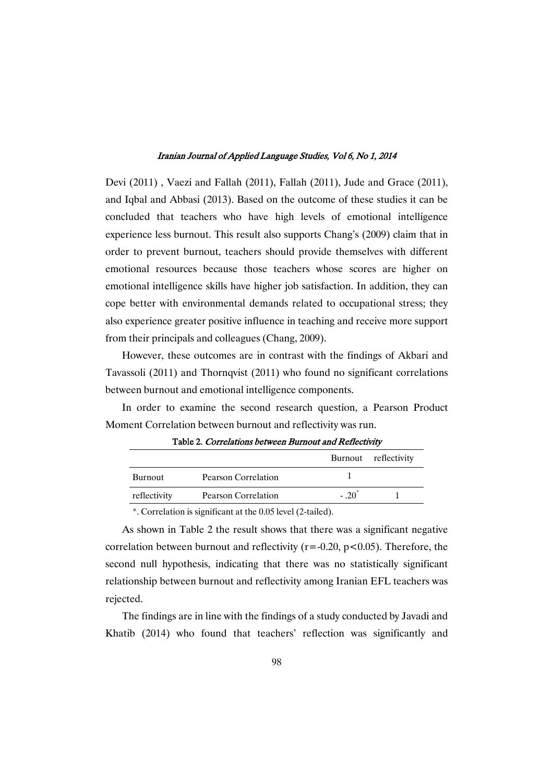Devi (2011) , Vaezi and Fallah (2011), Fallah (2011), Jude and Grace (2011), and Iqbal and Abbasi (2013). Based on the outcome of these studies it can be concluded that teachers who have high levels of emotional intelligence experience less burnout. This result also supports Chang's (2009) claim that in order to prevent burnout, teachers should provide themselves with different emotional resources because those teachers whose scores are higher on emotional intelligence skills have higher job satisfaction. In addition, they can cope better with environmental demands related to occupational stress; they also experience greater positive influence in teaching and receive more support from their principals and colleagues (Chang, 2009).

However, these outcomes are in contrast with the findings of Akbari and Tavassoli (2011) and Thornqvist (2011) who found no significant correlations between burnout and emotional intelligence components.

In order to examine the second research question, a Pearson Product Moment Correlation between burnout and reflectivity was run.

|                |                     |        | Burnout reflectivity |
|----------------|---------------------|--------|----------------------|
| <b>Burnout</b> | Pearson Correlation |        |                      |
| reflectivity   | Pearson Correlation | $-.20$ |                      |

Table 2. Correlations between Burnout and Reflectivity

\*. Correlation is significant at the 0.05 level (2-tailed).

As shown in Table 2 the result shows that there was a significant negative correlation between burnout and reflectivity ( $r = -0.20$ ,  $p < 0.05$ ). Therefore, the second null hypothesis, indicating that there was no statistically significant relationship between burnout and reflectivity among Iranian EFL teachers was rejected.

The findings are in line with the findings of a study conducted by Javadi and Khatib (2014) who found that teachers' reflection was significantly and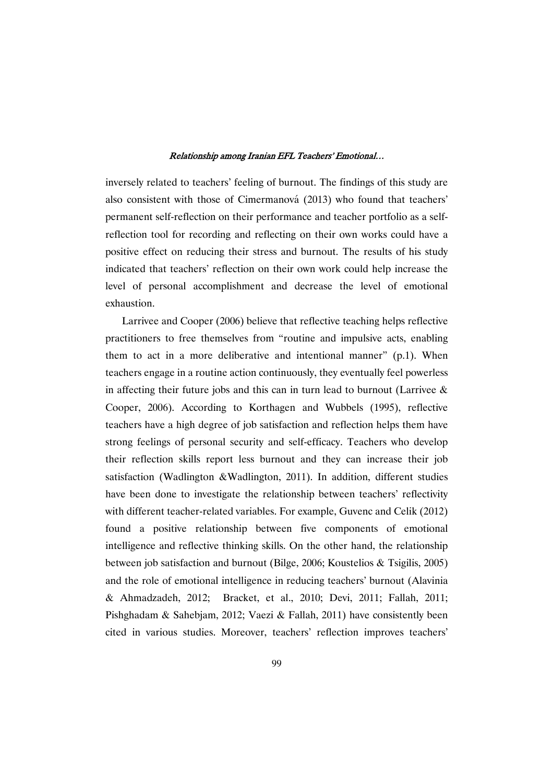inversely related to teachers' feeling of burnout. The findings of this study are also consistent with those of Cimermanová (2013) who found that teachers' permanent self-reflection on their performance and teacher portfolio as a selfreflection tool for recording and reflecting on their own works could have a positive effect on reducing their stress and burnout. The results of his study indicated that teachers' reflection on their own work could help increase the level of personal accomplishment and decrease the level of emotional exhaustion.

Larrivee and Cooper (2006) believe that reflective teaching helps reflective practitioners to free themselves from "routine and impulsive acts, enabling them to act in a more deliberative and intentional manner" (p.1). When teachers engage in a routine action continuously, they eventually feel powerless in affecting their future jobs and this can in turn lead to burnout (Larrivee  $\&$ Cooper, 2006). According to Korthagen and Wubbels (1995), reflective teachers have a high degree of job satisfaction and reflection helps them have strong feelings of personal security and self-efficacy. Teachers who develop their reflection skills report less burnout and they can increase their job satisfaction (Wadlington &Wadlington, 2011). In addition, different studies have been done to investigate the relationship between teachers' reflectivity with different teacher-related variables. For example, Guvenc and Celik (2012) found a positive relationship between five components of emotional intelligence and reflective thinking skills. On the other hand, the relationship between job satisfaction and burnout (Bilge, 2006; Koustelios & Tsigilis, 2005) and the role of emotional intelligence in reducing teachers' burnout (Alavinia & Ahmadzadeh, 2012; Bracket, et al., 2010; Devi, 2011; Fallah, 2011; Pishghadam & Sahebjam, 2012; Vaezi & Fallah, 2011) have consistently been cited in various studies. Moreover, teachers' reflection improves teachers'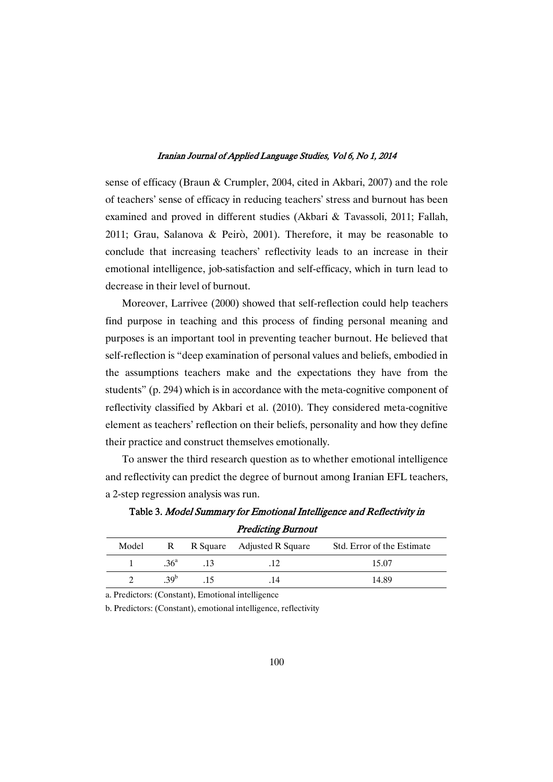sense of efficacy (Braun & Crumpler, 2004, cited in Akbari, 2007) and the role of teachers' sense of efficacy in reducing teachers' stress and burnout has been examined and proved in different studies (Akbari & Tavassoli, 2011; Fallah, 2011; Grau, Salanova & Peirò, 2001). Therefore, it may be reasonable to conclude that increasing teachers' reflectivity leads to an increase in their emotional intelligence, job-satisfaction and self-efficacy, which in turn lead to decrease in their level of burnout.

Moreover, Larrivee (2000) showed that self-reflection could help teachers find purpose in teaching and this process of finding personal meaning and purposes is an important tool in preventing teacher burnout. He believed that self-reflection is "deep examination of personal values and beliefs, embodied in the assumptions teachers make and the expectations they have from the students" (p. 294) which is in accordance with the meta-cognitive component of reflectivity classified by Akbari et al. (2010). They considered meta-cognitive element as teachers' reflection on their beliefs, personality and how they define their practice and construct themselves emotionally.

To answer the third research question as to whether emotional intelligence and reflectivity can predict the degree of burnout among Iranian EFL teachers, a 2-step regression analysis was run.

|       |                 |     | <i><b>TICORING DUINGU</b></i> |                            |  |
|-------|-----------------|-----|-------------------------------|----------------------------|--|
| Model |                 |     | R R Square Adjusted R Square  | Std. Error of the Estimate |  |
|       | 36 <sup>a</sup> | .13 |                               | 15.07                      |  |
|       | 39 <sup>b</sup> |     | .14                           | 14.89                      |  |

Table 3. Model Summary for Emotional Intelligence and Reflectivity in **Predicting Burnout** 

a. Predictors: (Constant), Emotional intelligence

b. Predictors: (Constant), emotional intelligence, reflectivity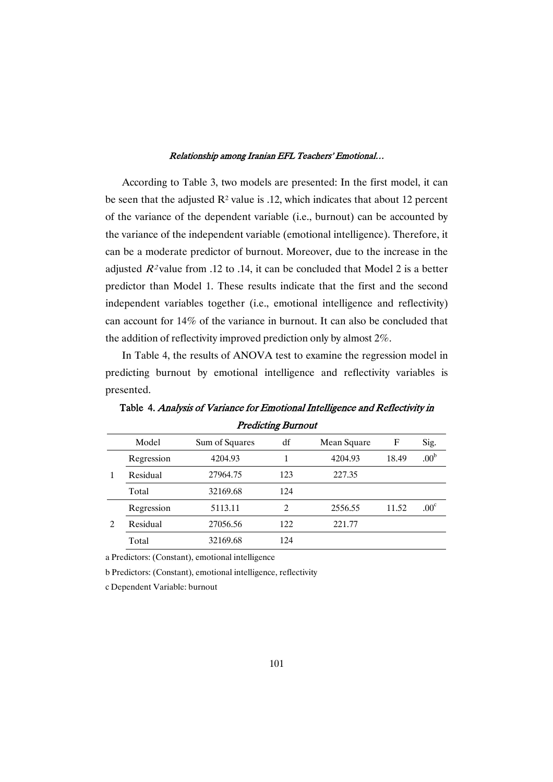According to Table 3, two models are presented: In the first model, it can be seen that the adjusted  $\mathbb{R}^2$  value is .12, which indicates that about 12 percent of the variance of the dependent variable (i.e., burnout) can be accounted by the variance of the independent variable (emotional intelligence). Therefore, it can be a moderate predictor of burnout. Moreover, due to the increase in the adjusted  $R^2$  value from .12 to .14, it can be concluded that Model 2 is a better predictor than Model 1. These results indicate that the first and the second independent variables together (i.e., emotional intelligence and reflectivity) can account for 14% of the variance in burnout. It can also be concluded that the addition of reflectivity improved prediction only by almost 2%.

In Table 4, the results of ANOVA test to examine the regression model in predicting burnout by emotional intelligence and reflectivity variables is presented.

|    | Model      | Sum of Squares | df             | Mean Square | F     | Sig.             |
|----|------------|----------------|----------------|-------------|-------|------------------|
|    | Regression | 4204.93        |                | 4204.93     | 18.49 | .00 <sup>b</sup> |
| -1 | Residual   | 27964.75       | 123            | 227.35      |       |                  |
|    | Total      | 32169.68       | 124            |             |       |                  |
|    | Regression | 5113.11        | $\overline{c}$ | 2556.55     | 11.52 | .00 <sup>c</sup> |
| 2  | Residual   | 27056.56       | 122            | 221.77      |       |                  |
|    | Total      | 32169.68       | 124            |             |       |                  |

Table 4. Analysis of Variance for Emotional Intelligence and Reflectivity in **Predicting Burnout** 

a Predictors: (Constant), emotional intelligence

b Predictors: (Constant), emotional intelligence, reflectivity

c Dependent Variable: burnout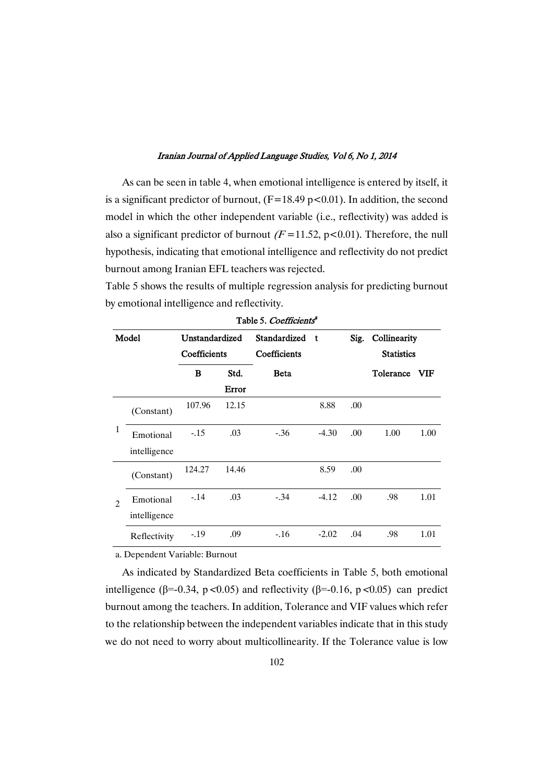As can be seen in table 4, when emotional intelligence is entered by itself, it is a significant predictor of burnout,  $(F=18.49 \text{ p} < 0.01)$ . In addition, the second model in which the other independent variable (i.e., reflectivity) was added is also a significant predictor of burnout  $(F=11.52, p<0.01)$ . Therefore, the null hypothesis, indicating that emotional intelligence and reflectivity do not predict burnout among Iranian EFL teachers was rejected.

Table 5 shows the results of multiple regression analysis for predicting burnout by emotional intelligence and reflectivity.

| Model                       |                           | Unstandardized<br>Coefficients |       | Standardized<br>Coefficients | $\mathbf{t}$ | Sig. | Collinearity<br><b>Statistics</b> |      |
|-----------------------------|---------------------------|--------------------------------|-------|------------------------------|--------------|------|-----------------------------------|------|
|                             |                           | B                              | Std.  | <b>Beta</b>                  |              |      | Tolerance                         | VIF  |
|                             |                           |                                | Error |                              |              |      |                                   |      |
|                             | (Constant)                | 107.96                         | 12.15 |                              | 8.88         | .00  |                                   |      |
| $\mathbf{1}$                | Emotional<br>intelligence | $-.15$                         | .03   | $-.36$                       | $-4.30$      | .00. | 1.00                              | 1.00 |
|                             | (Constant)                | 124.27                         | 14.46 |                              | 8.59         | .00. |                                   |      |
| $\mathcal{D}_{\mathcal{A}}$ | Emotional<br>intelligence | $-14$                          | .03   | $-.34$                       | $-4.12$      | .00. | .98                               | 1.01 |
|                             | Reflectivity              | $-.19$                         | .09   | $-16$                        | $-2.02$      | .04  | .98                               | 1.01 |

Table 5. Coefficients<sup>a</sup>

a. Dependent Variable: Burnout

As indicated by Standardized Beta coefficients in Table 5, both emotional intelligence ( $\beta$ =-0.34, p <0.05) and reflectivity ( $\beta$ =-0.16, p <0.05) can predict burnout among the teachers. In addition, Tolerance and VIF values which refer to the relationship between the independent variables indicate that in this study we do not need to worry about multicollinearity. If the Tolerance value is low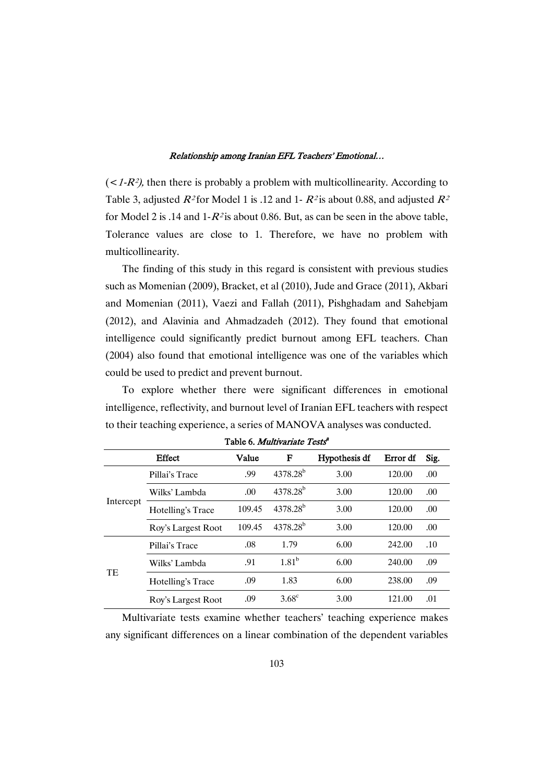$\left($  < 1-R<sup>2</sup>), then there is probably a problem with multicollinearity. According to Table 3, adjusted  $R^2$  for Model 1 is .12 and 1-  $R^2$  is about 0.88, and adjusted  $R^2$ for Model 2 is .14 and  $1-R^2$  is about 0.86. But, as can be seen in the above table, Tolerance values are close to 1. Therefore, we have no problem with multicollinearity.

The finding of this study in this regard is consistent with previous studies such as Momenian (2009), Bracket, et al (2010), Jude and Grace (2011), Akbari and Momenian (2011), Vaezi and Fallah (2011), Pishghadam and Sahebjam (2012), and Alavinia and Ahmadzadeh (2012). They found that emotional intelligence could significantly predict burnout among EFL teachers. Chan (2004) also found that emotional intelligence was one of the variables which could be used to predict and prevent burnout.

To explore whether there were significant differences in emotional intelligence, reflectivity, and burnout level of Iranian EFL teachers with respect to their teaching experience, a series of MANOVA analyses was conducted.

|           | Effect             | Value  | F                    | <b>Hypothesis df</b> | Error df | Sig. |
|-----------|--------------------|--------|----------------------|----------------------|----------|------|
|           | Pillai's Trace     | .99    | $4378.28^{b}$        | 3.00                 | 120.00   | .00. |
|           | Wilks' Lambda      | .00    | 4378.28 <sup>b</sup> | 3.00                 | 120.00   | .00. |
| Intercept | Hotelling's Trace  | 109.45 | $4378.28^{b}$        | 3.00                 | 120.00   | .00. |
|           | Roy's Largest Root | 109.45 | $4378.28^{b}$        | 3.00                 | 120.00   | .00. |
| TE        | Pillai's Trace     | .08    | 1.79                 | 6.00                 | 242.00   | .10  |
|           | Wilks' Lambda      | .91    | $1.81^{b}$           | 6.00                 | 240.00   | .09  |
|           | Hotelling's Trace  | .09    | 1.83                 | 6.00                 | 238.00   | .09  |
|           | Roy's Largest Root | .09    | $3.68^{\circ}$       | 3.00                 | 121.00   | .01  |

Table 6. Multivariate Tests<sup>a</sup>

Multivariate tests examine whether teachers' teaching experience makes any significant differences on a linear combination of the dependent variables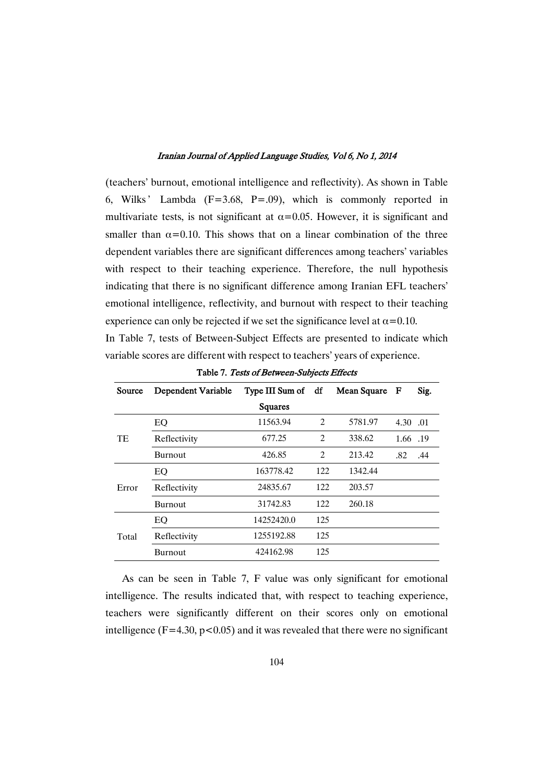(teachers' burnout, emotional intelligence and reflectivity). As shown in Table 6, Wilks' Lambda ( $F=3.68$ ,  $P=.09$ ), which is commonly reported in multivariate tests, is not significant at  $\alpha$ =0.05. However, it is significant and smaller than  $\alpha = 0.10$ . This shows that on a linear combination of the three dependent variables there are significant differences among teachers' variables with respect to their teaching experience. Therefore, the null hypothesis indicating that there is no significant difference among Iranian EFL teachers' emotional intelligence, reflectivity, and burnout with respect to their teaching experience can only be rejected if we set the significance level at  $\alpha$ =0.10. In Table 7, tests of Between-Subject Effects are presented to indicate which

| Source | Dependent Variable | Type III Sum of df |     | Mean Square F |          | Sig. |
|--------|--------------------|--------------------|-----|---------------|----------|------|
|        |                    | Squares            |     |               |          |      |
|        | EO                 | 11563.94           | 2   | 5781.97       | 4.30 .01 |      |
| TE     | Reflectivity       | 677.25             | 2   | 338.62        | 1.66 .19 |      |
|        | <b>Burnout</b>     | 426.85             | 2   | 213.42        | .82      | .44  |
|        | EO                 | 163778.42          | 122 | 1342.44       |          |      |
| Error  | Reflectivity       | 24835.67           | 122 | 203.57        |          |      |
|        | <b>Burnout</b>     | 31742.83           | 122 | 260.18        |          |      |
| Total  | EO                 | 14252420.0         | 125 |               |          |      |
|        | Reflectivity       | 1255192.88         | 125 |               |          |      |
|        | <b>Burnout</b>     | 424162.98          | 125 |               |          |      |

Table 7. Tests of Between-Subiects Effects

variable scores are different with respect to teachers' years of experience.

As can be seen in Table 7, F value was only significant for emotional intelligence. The results indicated that, with respect to teaching experience, teachers were significantly different on their scores only on emotional intelligence ( $F=4.30$ ,  $p<0.05$ ) and it was revealed that there were no significant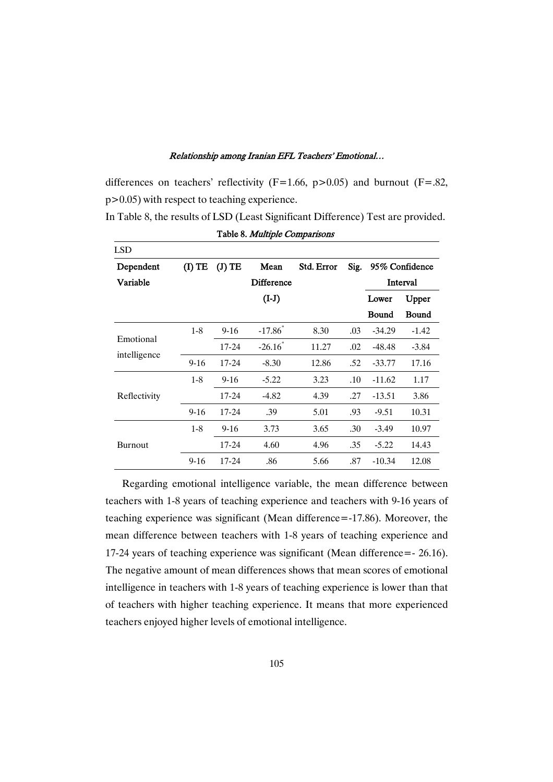#### RelationshipamongIranianEFLTeachers'Emotional…

differences on teachers' reflectivity (F=1.66, p>0.05) and burnout (F=.82, p>0.05) with respect to teaching experience.

In Table 8, the results of LSD (Least Significant Difference) Test are provided.

| <b>LSD</b>   |          |           |                       |            |      |                |              |
|--------------|----------|-----------|-----------------------|------------|------|----------------|--------------|
| Dependent    | $(I)$ TE | $(J)$ TE  | Mean                  | Std. Error | Sig. | 95% Confidence |              |
| Variable     |          |           | <b>Difference</b>     |            |      | Interval       |              |
|              |          |           | $(I-J)$               |            |      | Lower          | Upper        |
|              |          |           |                       |            |      | <b>Bound</b>   | <b>Bound</b> |
|              | $1 - 8$  | $9-16$    | $-17.86$ <sup>*</sup> | 8.30       | .03  | $-34.29$       | $-1.42$      |
| Emotional    |          | 17-24     | $-26.16$              | 11.27      | .02  | $-48.48$       | $-3.84$      |
| intelligence | $9 - 16$ | $17 - 24$ | $-8.30$               | 12.86      | .52  | $-33.77$       | 17.16        |
|              | $1 - 8$  | $9 - 16$  | $-5.22$               | 3.23       | .10  | $-11.62$       | 1.17         |
| Reflectivity |          | 17-24     | $-4.82$               | 4.39       | .27  | $-13.51$       | 3.86         |
|              | $9 - 16$ | 17-24     | .39                   | 5.01       | .93  | $-9.51$        | 10.31        |
|              | $1 - 8$  | $9 - 16$  | 3.73                  | 3.65       | .30  | $-3.49$        | 10.97        |
| Burnout      |          | 17-24     | 4.60                  | 4.96       | .35  | $-5.22$        | 14.43        |
|              | $9 - 16$ | 17-24     | .86                   | 5.66       | .87  | $-10.34$       | 12.08        |

Table 8. Multiple Comparisons

Regarding emotional intelligence variable, the mean difference between teachers with 1-8 years of teaching experience and teachers with 9-16 years of teaching experience was significant (Mean difference=-17.86). Moreover, the mean difference between teachers with 1-8 years of teaching experience and 17-24 years of teaching experience was significant (Mean difference=- 26.16). The negative amount of mean differences shows that mean scores of emotional intelligence in teachers with 1-8 years of teaching experience is lower than that of teachers with higher teaching experience. It means that more experienced teachers enjoyed higher levels of emotional intelligence.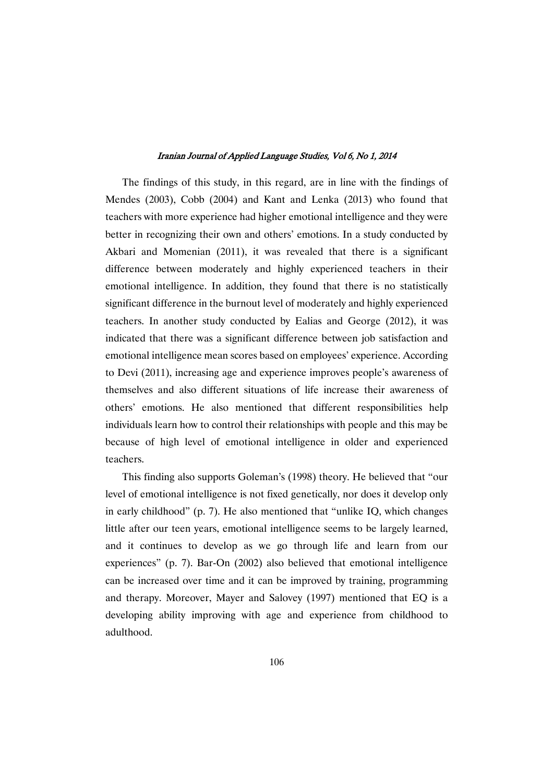The findings of this study, in this regard, are in line with the findings of Mendes (2003), Cobb (2004) and Kant and Lenka (2013) who found that teachers with more experience had higher emotional intelligence and they were better in recognizing their own and others' emotions. In a study conducted by Akbari and Momenian (2011), it was revealed that there is a significant difference between moderately and highly experienced teachers in their emotional intelligence. In addition, they found that there is no statistically significant difference in the burnout level of moderately and highly experienced teachers. In another study conducted by Ealias and George (2012), it was indicated that there was a significant difference between job satisfaction and emotional intelligence mean scores based on employees' experience. According to Devi (2011), increasing age and experience improves people's awareness of themselves and also different situations of life increase their awareness of others' emotions. He also mentioned that different responsibilities help individuals learn how to control their relationships with people and this may be because of high level of emotional intelligence in older and experienced teachers.

This finding also supports Goleman's (1998) theory. He believed that "our level of emotional intelligence is not fixed genetically, nor does it develop only in early childhood" (p. 7). He also mentioned that "unlike IQ, which changes little after our teen years, emotional intelligence seems to be largely learned, and it continues to develop as we go through life and learn from our experiences" (p. 7). Bar-On (2002) also believed that emotional intelligence can be increased over time and it can be improved by training, programming and therapy. Moreover, Mayer and Salovey (1997) mentioned that EQ is a developing ability improving with age and experience from childhood to adulthood.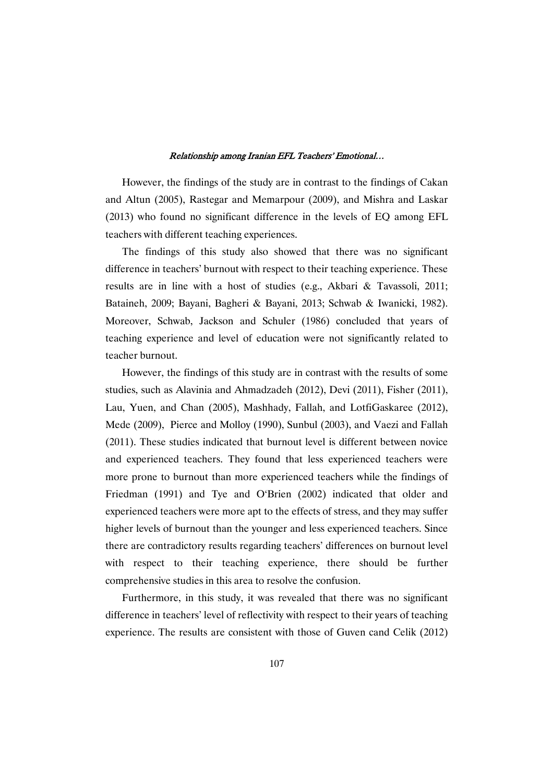However, the findings of the study are in contrast to the findings of Cakan and Altun (2005), Rastegar and Memarpour (2009), and Mishra and Laskar (2013) who found no significant difference in the levels of EQ among EFL teachers with different teaching experiences.

The findings of this study also showed that there was no significant difference in teachers' burnout with respect to their teaching experience. These results are in line with a host of studies (e.g., Akbari & Tavassoli, 2011; Bataineh, 2009; Bayani, Bagheri & Bayani, 2013; Schwab & Iwanicki, 1982). Moreover, Schwab, Jackson and Schuler (1986) concluded that years of teaching experience and level of education were not significantly related to teacher burnout.

However, the findings of this study are in contrast with the results of some studies, such as Alavinia and Ahmadzadeh (2012), Devi (2011), Fisher (2011), Lau, Yuen, and Chan (2005), Mashhady, Fallah, and LotfiGaskaree (2012), Mede (2009), Pierce and Molloy (1990), Sunbul (2003), and Vaezi and Fallah (2011). These studies indicated that burnout level is different between novice and experienced teachers. They found that less experienced teachers were more prone to burnout than more experienced teachers while the findings of Friedman (1991) and Tye and O'Brien (2002) indicated that older and experienced teachers were more apt to the effects of stress, and they may suffer higher levels of burnout than the younger and less experienced teachers. Since there are contradictory results regarding teachers' differences on burnout level with respect to their teaching experience, there should be further comprehensive studies in this area to resolve the confusion.

Furthermore, in this study, it was revealed that there was no significant difference in teachers' level of reflectivity with respect to their years of teaching experience. The results are consistent with those of Guven cand Celik (2012)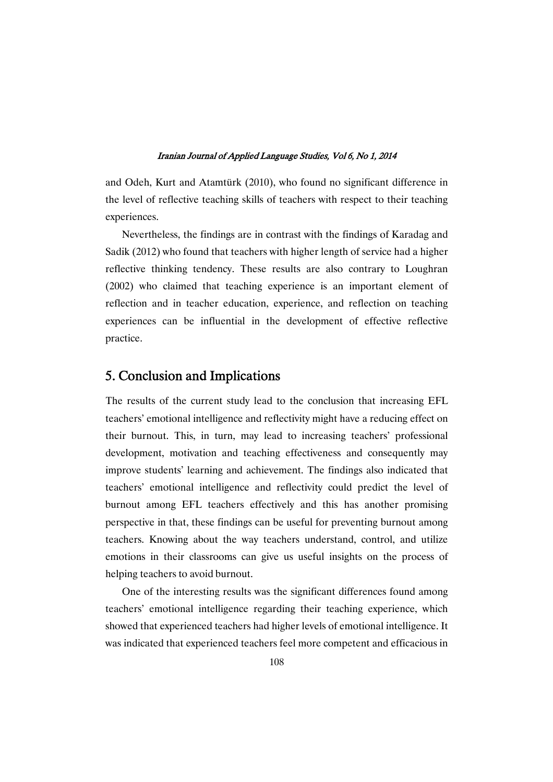and Odeh, Kurt and Atamtürk (2010), who found no significant difference in the level of reflective teaching skills of teachers with respect to their teaching experiences.

Nevertheless, the findings are in contrast with the findings of Karadag and Sadik (2012) who found that teachers with higher length of service had a higher reflective thinking tendency. These results are also contrary to Loughran (2002) who claimed that teaching experience is an important element of reflection and in teacher education, experience, and reflection on teaching experiences can be influential in the development of effective reflective practice.

### 5.ConclusionandImplications

The results of the current study lead to the conclusion that increasing EFL teachers' emotional intelligence and reflectivity might have a reducing effect on their burnout. This, in turn, may lead to increasing teachers' professional development, motivation and teaching effectiveness and consequently may improve students' learning and achievement. The findings also indicated that teachers' emotional intelligence and reflectivity could predict the level of burnout among EFL teachers effectively and this has another promising perspective in that, these findings can be useful for preventing burnout among teachers. Knowing about the way teachers understand, control, and utilize emotions in their classrooms can give us useful insights on the process of helping teachers to avoid burnout.

One of the interesting results was the significant differences found among teachers' emotional intelligence regarding their teaching experience, which showed that experienced teachers had higher levels of emotional intelligence. It was indicated that experienced teachers feel more competent and efficacious in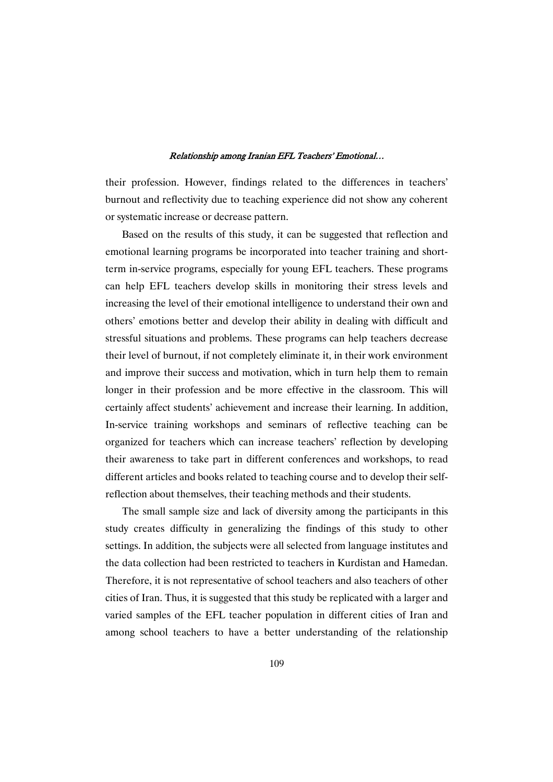their profession. However, findings related to the differences in teachers' burnout and reflectivity due to teaching experience did not show any coherent or systematic increase or decrease pattern.

Based on the results of this study, it can be suggested that reflection and emotional learning programs be incorporated into teacher training and shortterm in-service programs, especially for young EFL teachers. These programs can help EFL teachers develop skills in monitoring their stress levels and increasing the level of their emotional intelligence to understand their own and others' emotions better and develop their ability in dealing with difficult and stressful situations and problems. These programs can help teachers decrease their level of burnout, if not completely eliminate it, in their work environment and improve their success and motivation, which in turn help them to remain longer in their profession and be more effective in the classroom. This will certainly affect students' achievement and increase their learning. In addition, In-service training workshops and seminars of reflective teaching can be organized for teachers which can increase teachers' reflection by developing their awareness to take part in different conferences and workshops, to read different articles and books related to teaching course and to develop their selfreflection about themselves, their teaching methods and their students.

The small sample size and lack of diversity among the participants in this study creates difficulty in generalizing the findings of this study to other settings. In addition, the subjects were all selected from language institutes and the data collection had been restricted to teachers in Kurdistan and Hamedan. Therefore, it is not representative of school teachers and also teachers of other cities of Iran. Thus, it is suggested that this study be replicated with a larger and varied samples of the EFL teacher population in different cities of Iran and among school teachers to have a better understanding of the relationship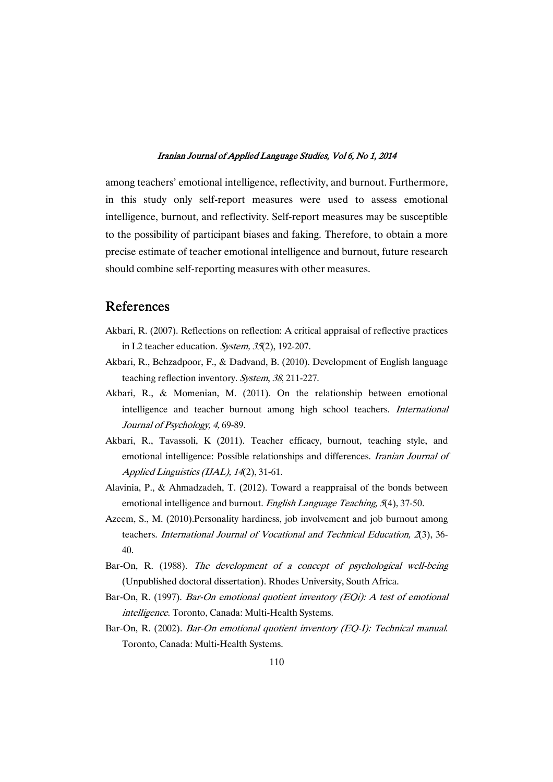among teachers' emotional intelligence, reflectivity, and burnout. Furthermore, in this study only self-report measures were used to assess emotional intelligence, burnout, and reflectivity. Self-report measures may be susceptible to the possibility of participant biases and faking. Therefore, to obtain a more precise estimate of teacher emotional intelligence and burnout, future research should combine self-reporting measures with other measures.

### References

- Akbari, R. (2007). Reflections on reflection: A critical appraisal of reflective practices in L2 teacher education. System, <sup>35</sup>(2), 192-207.
- Akbari, R., Behzadpoor, F., & Dadvand, B. (2010). Development of English language teaching reflection inventory. System, <sup>38</sup>, 211-227.
- Akbari, R., & Momenian, M. (2011). On the relationship between emotional intelligence and teacher burnout among high school teachers. International Journal of Psychology, 4, 69-89.
- Akbari, R., Tavassoli, K (2011). Teacher efficacy, burnout, teaching style, and emotional intelligence: Possible relationships and differences. *Iranian Journal of* Applied Linguistics (IJAL), <sup>14</sup>(2), 31-61.
- Alavinia, P., & Ahmadzadeh, T. (2012). Toward a reappraisal of the bonds between emotional intelligence and burnout. *English Language Teaching*, 5(4), 37-50.
- Azeem, S., M. (2010).Personality hardiness, job involvement and job burnout among teachers. International Journal of Vocational and Technical Education, 2(3), 36-40.
- Bar-On, R. (1988). The development of <sup>a</sup> concept of psychological well-being (Unpublished doctoral dissertation). Rhodes University, South Africa.
- Bar-On, R. (1997). *Bar-On emotional quotient inventory (EQi): A test of emotional* intelligence. Toronto, Canada: Multi-Health Systems.
- Bar-On, R. (2002). *Bar-On emotional quotient inventory (EQ-I): Technical manual.* Toronto, Canada: Multi-Health Systems.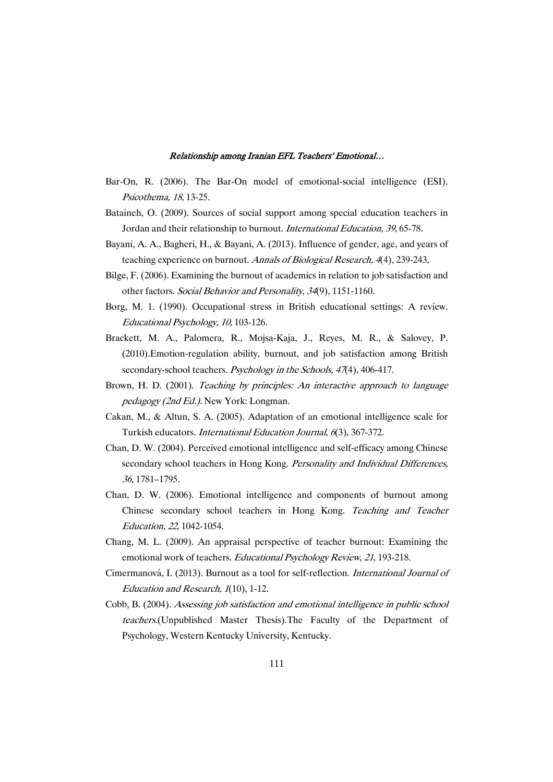- Bar-On, R. (2006). The Bar-On model of emotional-social intelligence (ESI). Psicothema, 18, 13-25.
- Bataineh, O. (2009). Sources of social support among special education teachers in Jordan and their relationship to burnout. International Education, 39, 65-78.
- Bayani, A. A., Bagheri, H., & Bayani, A. (2013). Influence of gender, age, and years of teaching experience on burnout. Annals of Biological Research, 4(4), 239-243.
- Bilge, F. (2006). Examining the burnout of academics in relation to job satisfaction and other factors. Social Behavior and Personality, <sup>34</sup>(9), 1151-1160.
- Borg, M. 1. (1990). Occupational stress in British educational settings: A review. Educational Psychology, 10, 103-126.
- Brackett, M. A., Palomera, R., Mojsa-Kaja, J., Reyes, M. R., & Salovey, P. (2010).Emotion-regulation ability, burnout, and job satisfaction among British secondary-school teachers. *Psychology in the Schools*, 47(4), 406-417.
- Brown, H. D. (2001). Teaching by principles: An interactive approach to language pedagogy (2nd Ed.). New York: Longman.
- Cakan, M., & Altun, S. A. (2005). Adaptation of an emotional intelligence scale for Turkish educators. International Education Journal, <sup>6</sup>(3), 367-372.
- Chan, D. W. (2004). Perceived emotional intelligence and self-efficacy among Chinese secondary school teachers in Hong Kong. Personality and Individual Differences, 36, 1781–1795.
- Chan, D. W. (2006). Emotional intelligence and components of burnout among Chinese secondary school teachers in Hong Kong. Teaching and Teacher Education, 22, 1042-1054.
- Chang, M. L. (2009). An appraisal perspective of teacher burnout: Examining the emotional work of teachers. Educational Psychology Review, 21, 193-218.
- Cimermanová, I. (2013). Burnout as a tool for self-reflection. International Journal of Education and Research, <sup>1</sup>(10), 1-12.
- Cobb, B. (2004). Assessing job satisfaction and emotional intelligence in public school teachers.(Unpublished Master Thesis).The Faculty of the Department of Psychology, Western Kentucky University, Kentucky.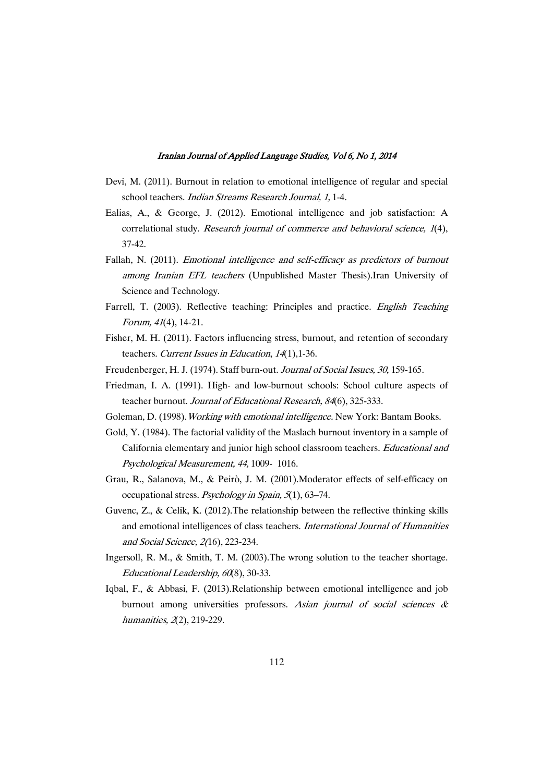- Devi, M. (2011). Burnout in relation to emotional intelligence of regular and special school teachers. Indian Streams Research Journal, 1, 1-4.
- Ealias, A., & George, J. (2012). Emotional intelligence and job satisfaction: A correlational study. Research journal of commerce and behavioral science, 1(4), 37-42.
- Fallah, N. (2011). Emotional intelligence and self-efficacy as predictors of burnout among Iranian EFL teachers (Unpublished Master Thesis).Iran University of Science and Technology.
- Farrell, T. (2003). Reflective teaching: Principles and practice. English Teaching Forum, <sup>41</sup>(4), 14-21.
- Fisher, M. H. (2011). Factors influencing stress, burnout, and retention of secondary teachers. Current Issues in Education, <sup>14</sup>(1),1-36.
- Freudenberger, H. J. (1974). Staff burn-out. Journal of Social Issues, 30, 159-165.
- Friedman, I. A. (1991). High- and low-burnout schools: School culture aspects of teacher burnout. Journal of Educational Research, 84(6), 325-333.
- Goleman, D. (1998). *Working with emotional intelligence*. New York: Bantam Books.
- Gold, Y. (1984). The factorial validity of the Maslach burnout inventory in a sample of California elementary and junior high school classroom teachers. Educational and Psychological Measurement, 44, 1009- 1016.
- Grau, R., Salanova, M., & Peirò, J. M. (2001).Moderator effects of self-efficacy on occupational stress. Psychology in Spain, <sup>5</sup>(1), 63–74.
- Guvenc, Z., & Celik, K. (2012). The relationship between the reflective thinking skills and emotional intelligences of class teachers. International Journal of Humanities and Social Science, 2(16), 223-234.
- Ingersoll, R. M., & Smith, T. M. (2003).The wrong solution to the teacher shortage. Educational Leadership, 60(8), 30-33.
- Iqbal, F., & Abbasi, F. (2013).Relationship between emotional intelligence and job burnout among universities professors. Asian journal of social sciences  $\&$ humanities, 2(2), 219-229.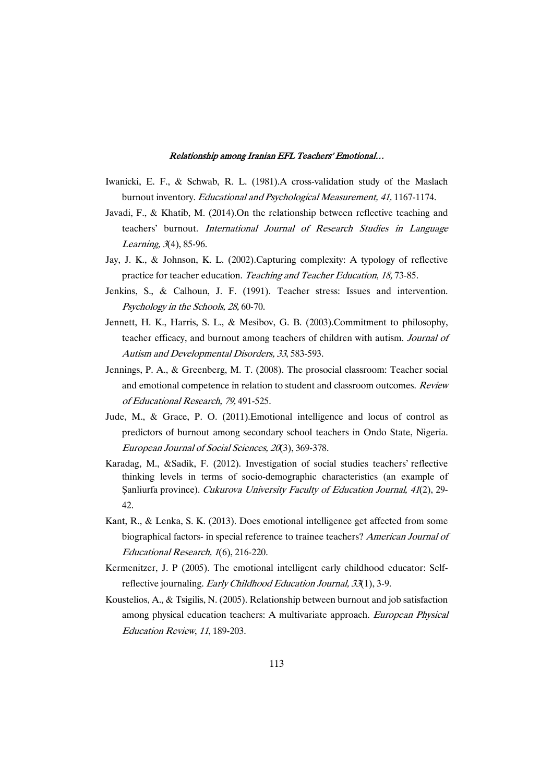- Iwanicki, E. F., & Schwab, R. L. (1981).A cross-validation study of the Maslach burnout inventory. Educational and Psychological Measurement, 41, 1167-1174.
- Javadi, F., & Khatib, M. (2014).On the relationship between reflective teaching and teachers' burnout. International Journal of Research Studies in Language Learning, <sup>3</sup>(4), 85-96.
- Jay, J. K., & Johnson, K. L. (2002).Capturing complexity: A typology of reflective practice for teacher education. Teaching and Teacher Education, 18, 73-85.
- Jenkins, S., & Calhoun, J. F. (1991). Teacher stress: Issues and intervention. Psychology in the Schools, 28, 60-70.
- Jennett, H. K., Harris, S. L., & Mesibov, G. B. (2003).Commitment to philosophy, teacher efficacy, and burnout among teachers of children with autism. Journal of Autism and Developmental Disorders, <sup>33</sup>, 583-593.
- Jennings, P. A., & Greenberg, M. T. (2008). The prosocial classroom: Teacher social and emotional competence in relation to student and classroom outcomes. Review of Educational Research, 79, 491-525.
- Jude, M., & Grace, P. O. (2011).Emotional intelligence and locus of control as predictors of burnout among secondary school teachers in Ondo State, Nigeria. European Journal of Social Sciences, <sup>20</sup>(3), 369-378.
- Karadag, M., &Sadik, F. (2012). Investigation of social studies teachers' reflective thinking levels in terms of socio-demographic characteristics (an example of Sanliurfa province). Cukurova University Faculty of Education Journal, 41(2), 29-42.
- Kant, R., & Lenka, S. K. (2013). Does emotional intelligence get affected from some biographical factors- in special reference to trainee teachers? American Journal of Educational Research, <sup>1</sup>(6), 216-220.
- Kermenitzer, J. P (2005). The emotional intelligent early childhood educator: Selfreflective journaling. Early Childhood Education Journal, 33(1), 3-9.
- Koustelios, A., & Tsigilis, N. (2005). Relationship between burnout and job satisfaction among physical education teachers: A multivariate approach. European Physical Education Review, <sup>11</sup>, 189-203.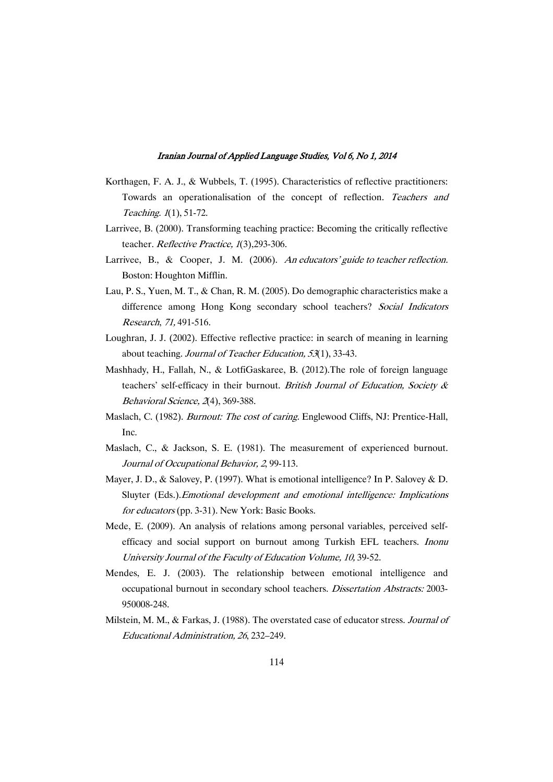- Korthagen, F. A. J., & Wubbels, T. (1995). Characteristics of reflective practitioners: Towards an operationalisation of the concept of reflection. Teachers and Teaching. <sup>1</sup>(1), 51-72.
- Larrivee, B. (2000). Transforming teaching practice: Becoming the critically reflective teacher. Reflective Practice, 1(3), 293-306.
- Larrivee, B., & Cooper, J. M. (2006). An educators' guide to teacher reflection. Boston: Houghton Mifflin.
- Lau, P. S., Yuen, M. T., & Chan, R. M. (2005). Do demographic characteristics make a difference among Hong Kong secondary school teachers? Social Indicators Research, 71, 491-516.
- Loughran, J. J. (2002). Effective reflective practice: in search of meaning in learning about teaching. Journal of Teacher Education, <sup>53</sup>(1), 33-43.
- Mashhady, H., Fallah, N., & LotfiGaskaree, B. (2012).The role of foreign language teachers' self-efficacy in their burnout. British Journal of Education, Society  $\&$ Behavioral Science, <sup>2</sup>(4), 369-388.
- Maslach, C. (1982). Burnout: The cost of caring. Englewood Cliffs, NJ: Prentice-Hall, Inc.
- Maslach, C., & Jackson, S. E. (1981). The measurement of experienced burnout. Journal of Occupational Behavior, <sup>2</sup>, 99-113.
- Mayer, J. D., & Salovey, P. (1997). What is emotional intelligence? In P. Salovey & D. Sluyter (Eds.).Emotional development and emotional intelligence: Implications for educators (pp. 3-31). New York: Basic Books.
- Mede, E. (2009). An analysis of relations among personal variables, perceived selfefficacy and social support on burnout among Turkish EFL teachers. Inonu University Journal of the Faculty of Education Volume, 10, 39-52.
- Mendes, E. J. (2003). The relationship between emotional intelligence and occupational burnout in secondary school teachers. Dissertation Abstracts: 2003- 950008-248.
- Milstein, M. M., & Farkas, J. (1988). The overstated case of educator stress. Journal of Educational Administration, <sup>26</sup>, 232–249.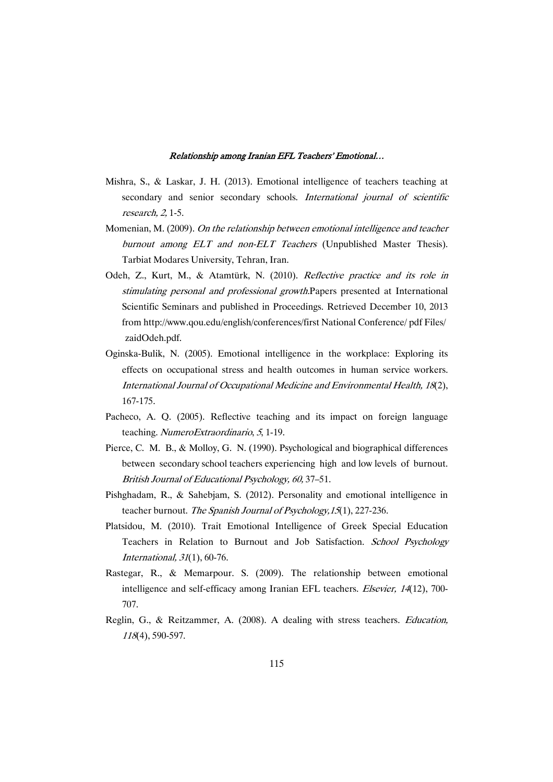- Mishra, S., & Laskar, J. H. (2013). Emotional intelligence of teachers teaching at secondary and senior secondary schools. International journal of scientific research, 2, 1-5.
- Momenian, M. (2009). On the relationship between emotional intelligence and teacher burnout among ELT and non-ELT Teachers (Unpublished Master Thesis). Tarbiat Modares University, Tehran, Iran.
- Odeh, Z., Kurt, M., & Atamtürk, N. (2010). Reflective practice and its role in stimulating personal and professional growth.Papers presented at International Scientific Seminars and published in Proceedings. Retrieved December 10, 2013 from http://www.qou.edu/english/conferences/first National Conference/ pdf Files/ zaidOdeh.pdf.
- Oginska-Bulik, N. (2005). Emotional intelligence in the workplace: Exploring its effects on occupational stress and health outcomes in human service workers. International Journal of Occupational Medicine and Environmental Health, <sup>18</sup>(2), 167-175.
- Pacheco, A. Q. (2005). Reflective teaching and its impact on foreign language teaching. NumeroExtraordinario, <sup>5</sup>, 1-19.
- Pierce, C. M. B., & Molloy, G. N. (1990). Psychological and biographical differences between secondary school teachers experiencing high and low levels of burnout. British Journal of Educational Psychology, 60, 37–51.
- Pishghadam, R., & Sahebjam, S. (2012). Personality and emotional intelligence in teacher burnout. The Spanish Journal of Psychology, 15(1), 227-236.
- Platsidou, M. (2010). Trait Emotional Intelligence of Greek Special Education Teachers in Relation to Burnout and Job Satisfaction. School Psychology International, <sup>31</sup>(1), 60-76.
- Rastegar, R., & Memarpour. S. (2009). The relationship between emotional intelligence and self-efficacy among Iranian EFL teachers. *Elsevier*, 14(12), 700-707.
- Reglin, G., & Reitzammer, A. (2008). A dealing with stress teachers. Education, <sup>118</sup>(4), 590-597.